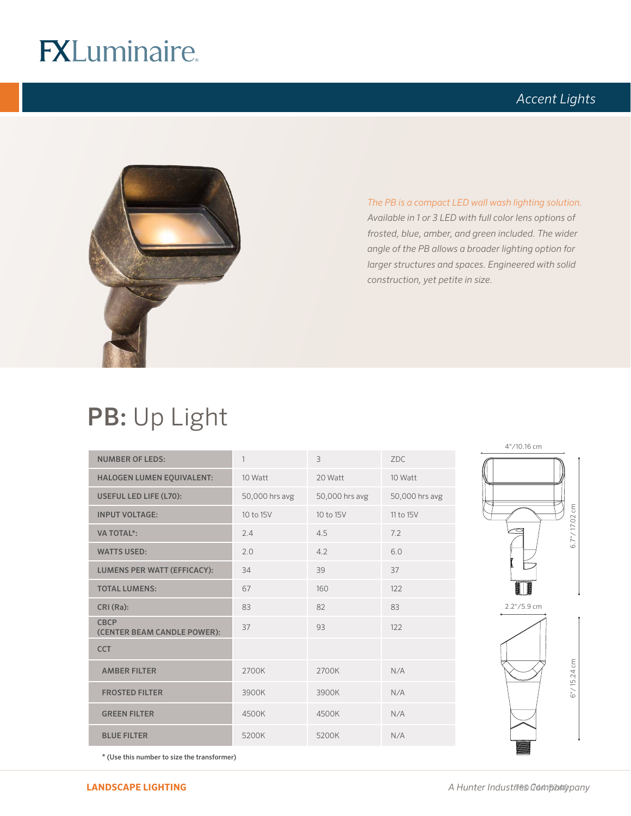# **FXLuminaire.**

## *Accent Lights*



*The PB is a compact LED wall wash lighting solution. Available in 1 or 3 LED with full color lens options of frosted, blue, amber, and green included. The wider angle of the PB allows a broader lighting option for larger structures and spaces. Engineered with solid construction, yet petite in size.* 

## PB: Up Light

| <b>NUMBER OF LEDS:</b>                     | 1              | $\overline{3}$ | ZDC.           |
|--------------------------------------------|----------------|----------------|----------------|
| <b>HALOGEN LUMEN EQUIVALENT:</b>           | 10 Watt        | 20 Watt        | 10 Watt        |
| USEFUL LED LIFE (L70):                     | 50,000 hrs avg | 50,000 hrs avg | 50,000 hrs avg |
| <b>INPUT VOLTAGE:</b>                      | 10 to 15V      | 10 to 15V      | 11 to 15V      |
| <b>VA TOTAL*:</b>                          | 2.4            | 4.5            | 7.2            |
| <b>WATTS USED:</b>                         | 2.0            | 4.2            | 6.0            |
| <b>LUMENS PER WATT (EFFICACY):</b>         | 34             | 39             | 37             |
| <b>TOTAL LUMENS:</b>                       | 67             | 160            | 122            |
| CRI (Ra):                                  | 83             | 82             | 83             |
| <b>CBCP</b><br>(CENTER BEAM CANDLE POWER): | 37             | 93             | 122            |
| <b>CCT</b>                                 |                |                |                |
| <b>AMBER FILTER</b>                        | 2700K          | 2700K          | N/A            |
| <b>FROSTED FILTER</b>                      | 3900K          | 3900K          | N/A            |
| <b>GREEN FILTER</b>                        | 4500K          | 4500K          | N/A            |
| <b>BLUE FILTER</b>                         | 5200K          | 5200K          | N/A            |



\* (Use this number to size the transformer)